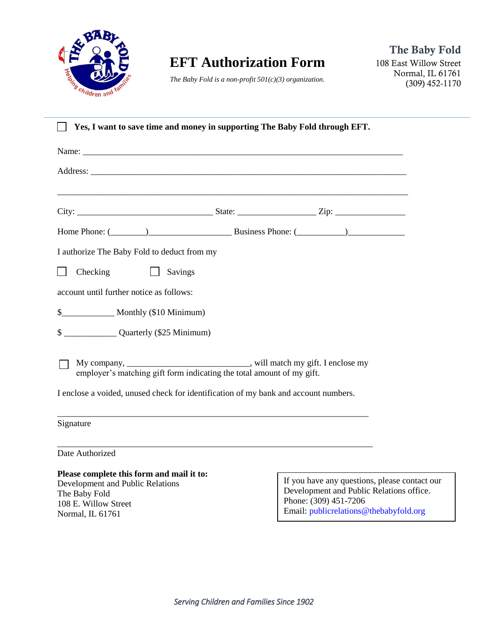

## **EFT Authorization Form**

*The Baby Fold is a non-profit 501(c)(3) organization.*

| Yes, I want to save time and money in supporting The Baby Fold through EFT.                                                                                                                                                    |                                                                                                                                                              |
|--------------------------------------------------------------------------------------------------------------------------------------------------------------------------------------------------------------------------------|--------------------------------------------------------------------------------------------------------------------------------------------------------------|
|                                                                                                                                                                                                                                |                                                                                                                                                              |
|                                                                                                                                                                                                                                |                                                                                                                                                              |
|                                                                                                                                                                                                                                |                                                                                                                                                              |
|                                                                                                                                                                                                                                |                                                                                                                                                              |
| Home Phone: (Changelen Comparison Comparison Business Phone: (Changelen Comparison Comparison Comparison Comparison Comparison Comparison Comparison Comparison Comparison Comparison Comparison Comparison Comparison Compari |                                                                                                                                                              |
| I authorize The Baby Fold to deduct from my                                                                                                                                                                                    |                                                                                                                                                              |
| Checking<br>$\Box$ Savings                                                                                                                                                                                                     |                                                                                                                                                              |
| account until further notice as follows:                                                                                                                                                                                       |                                                                                                                                                              |
|                                                                                                                                                                                                                                |                                                                                                                                                              |
| \$ ________________Quarterly (\$25 Minimum)                                                                                                                                                                                    |                                                                                                                                                              |
| My company, _______________________________, will match my gift. I enclose my employer's matching gift form indicating the total amount of my gift.                                                                            |                                                                                                                                                              |
| I enclose a voided, unused check for identification of my bank and account numbers.                                                                                                                                            |                                                                                                                                                              |
| Signature                                                                                                                                                                                                                      |                                                                                                                                                              |
| Date Authorized                                                                                                                                                                                                                |                                                                                                                                                              |
| Please complete this form and mail it to:<br>Development and Public Relations<br>The Baby Fold<br>108 E. Willow Street<br>Normal, IL 61761                                                                                     | If you have any questions, please contact our<br>Development and Public Relations office.<br>Phone: (309) 451-7206<br>Email: publicrelations@thebabyfold.org |